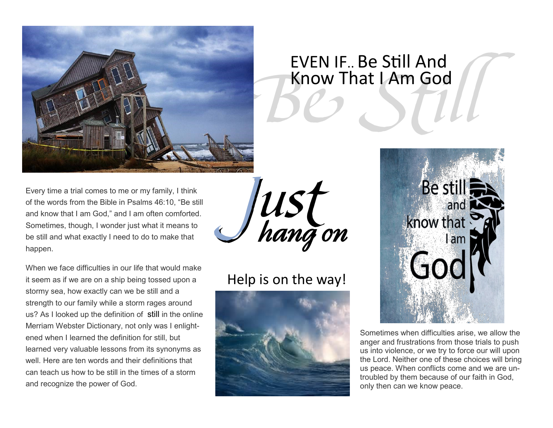

# **Be Still** EVEN IF.. Be Still And Know That I Am God

Every time a trial comes to me or my family, I think of the words from the Bible in Psalms 46:10, "Be still and know that I am God," and I am often comforted. Sometimes, though, I wonder just what it means to be still and what exactly I need to do to make that happen.

When we face difficulties in our life that would make it seem as if we are on a ship being tossed upon a stormy sea, how exactly can we be still and a strength to our family while a storm rages around us? As I looked up the definition of [still](http://www.merriam-webster.com/dictionary/still) in the online Merriam Webster Dictionary, not only was I enlightened when I learned the definition for still, but learned very valuable lessons from its synonyms as well. Here are ten words and their definitions that can teach us how to be still in the times of a storm and recognize the power of God.



# Help is on the way!





Sometimes when difficulties arise, we allow the anger and frustrations from those trials to push us into violence, or we try to force our will upon the Lord. Neither one of these choices will bring us peace. When conflicts come and we are untroubled by them because of our faith in God, only then can we know peace.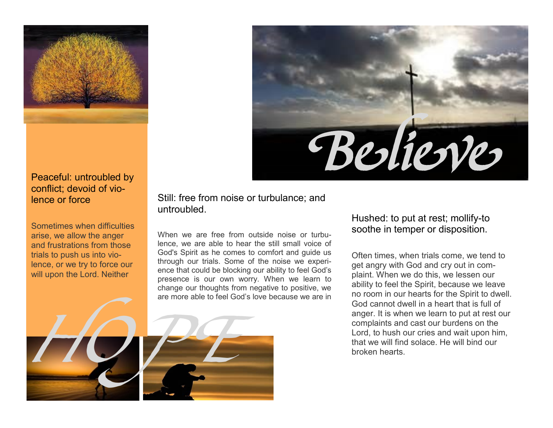

#### Peaceful: untroubled by conflict; devoid of violence or force

Sometimes when difficulties arise, we allow the anger and frustrations from those trials to push us into violence, or we try to force our will upon the Lord. Neither

Still: free from noise or turbulance; and untroubled.

When we are free from outside noise or turbulence, we are able to hear the still small voice of God's Spirit as he comes to comfort and guide us through our trials. Some of the noise we experience that could be blocking our ability to feel God's presence is our own worry. When we learn to change our thoughts from negative to positive, we are more able to feel God's love because we are in



*Believe* 

Often times, when trials come, we tend to get angry with God and cry out in complaint. When we do this, we lessen our ability to feel the Spirit, because we leave no room in our hearts for the Spirit to dwell. God cannot dwell in a heart that is full of anger. It is when we learn to put at rest our complaints and cast our burdens on the Lord, to hush our cries and wait upon him, that we will find solace. He will bind our broken hearts.